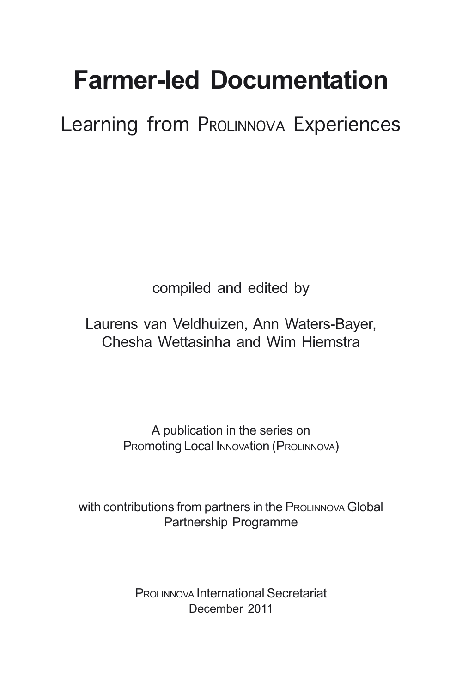# **Farmer-led Documentation**

Learning from PROLINNOVA Experiences

compiled and edited by

Laurens van Veldhuizen, Ann Waters-Bayer, Chesha Wettasinha and Wim Hiemstra

> A publication in the series on Promoting Local Innovation (ProLINNOVA)

with contributions from partners in the PROLINNOVA Global Partnership Programme

> PROLINNOVA International Secretariat December 2011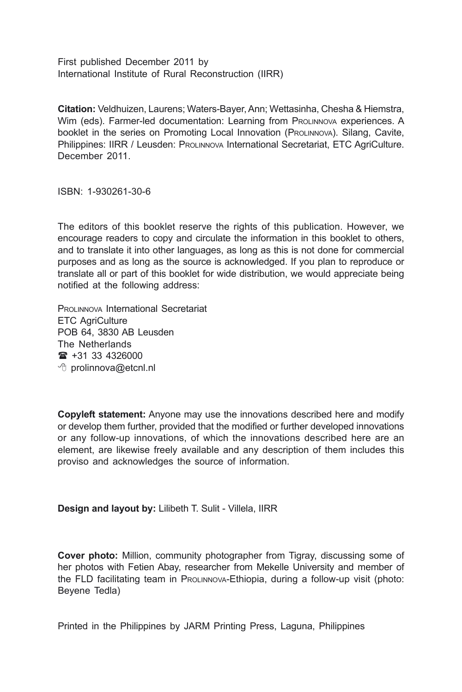First published December 2011 by International Institute of Rural Reconstruction (IIRR)

**Citation:** Veldhuizen, Laurens; Waters-Bayer, Ann; Wettasinha, Chesha & Hiemstra, Wim (eds). Farmer-led documentation: Learning from PROLINNOVA experiences. A booklet in the series on Promoting Local Innovation (PROLINNOVA). Silang, Cavite, Philippines: IIRR / Leusden: PROLINNOVA International Secretariat, ETC AgriCulture. December 2011.

ISBN: 1-930261-30-6

The editors of this booklet reserve the rights of this publication. However, we encourage readers to copy and circulate the information in this booklet to others, and to translate it into other languages, as long as this is not done for commercial purposes and as long as the source is acknowledged. If you plan to reproduce or translate all or part of this booklet for wide distribution, we would appreciate being notified at the following address:

PROLINNOVA International Secretariat ETC AgriCulture POB 64, 3830 AB Leusden The Netherlands  $\mathbf{R}$  +31 33 4326000 **<sup>⊕</sup>** prolinnova@etcnl.nl

**Copyleft statement:** Anyone may use the innovations described here and modify or develop them further, provided that the modified or further developed innovations or any follow-up innovations, of which the innovations described here are an element, are likewise freely available and any description of them includes this proviso and acknowledges the source of information.

**Design and layout by:** Lilibeth T. Sulit - Villela, IIRR

**Cover photo:** Million, community photographer from Tigray, discussing some of her photos with Fetien Abay, researcher from Mekelle University and member of the FLD facilitating team in PROLINNOVA-Ethiopia, during a follow-up visit (photo: Beyene Tedla)

Printed in the Philippines by JARM Printing Press, Laguna, Philippines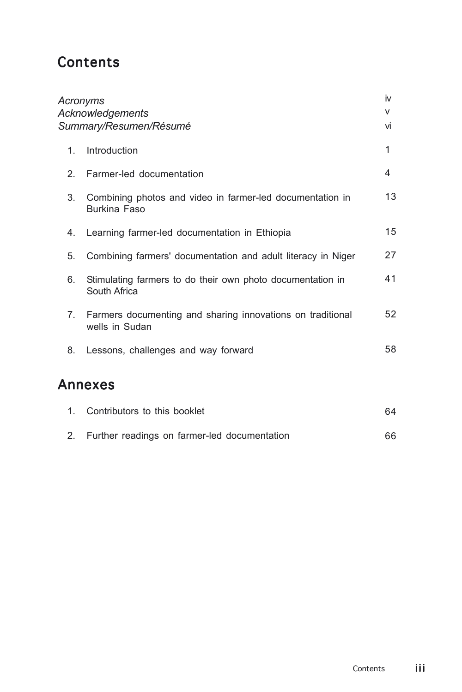#### **Contents**

| Acronyms<br>Acknowledgements<br>Summary/Resumen/Résumé |                                                                              | iv<br>v<br>vi |
|--------------------------------------------------------|------------------------------------------------------------------------------|---------------|
| $\mathbf{1}$ .                                         | Introduction                                                                 | 1             |
| 2.                                                     | Farmer-led documentation                                                     | 4             |
| 3.                                                     | Combining photos and video in farmer-led documentation in<br>Burkina Faso    | 13            |
| 4.                                                     | Learning farmer-led documentation in Ethiopia                                | 15            |
| 5.                                                     | Combining farmers' documentation and adult literacy in Niger                 | 27            |
| 6.                                                     | Stimulating farmers to do their own photo documentation in<br>South Africa   | 41            |
| 7.                                                     | Farmers documenting and sharing innovations on traditional<br>wells in Sudan | 52            |
| 8.                                                     | Lessons, challenges and way forward                                          | 58            |
|                                                        | <b>Annexes</b>                                                               |               |
| 1.                                                     | Contributors to this booklet                                                 | 64            |
| 2.                                                     | Further readings on farmer-led documentation                                 | 66            |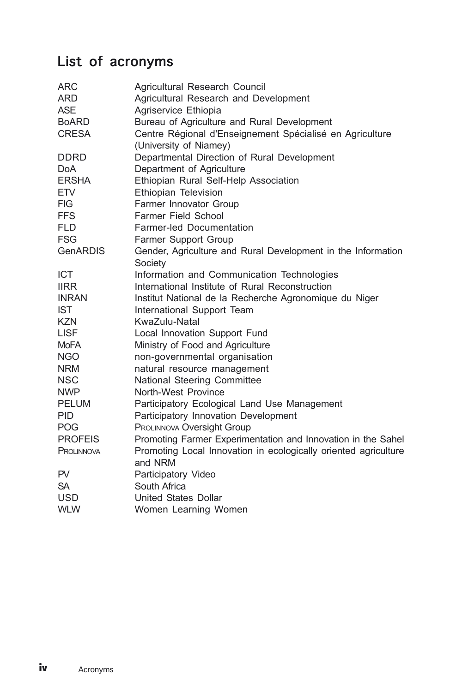## List of acronyms

| <b>ARC</b><br>ARD | Agricultural Research Council<br>Agricultural Research and Development             |
|-------------------|------------------------------------------------------------------------------------|
| <b>ASE</b>        | Agriservice Ethiopia                                                               |
| BoARD             | Bureau of Agriculture and Rural Development                                        |
| <b>CRESA</b>      | Centre Régional d'Enseignement Spécialisé en Agriculture<br>(University of Niamey) |
| <b>DDRD</b>       | Departmental Direction of Rural Development                                        |
| <b>DoA</b>        | Department of Agriculture                                                          |
| ERSHA             | Ethiopian Rural Self-Help Association                                              |
| ETV               | Ethiopian Television                                                               |
| <b>FIG</b>        | Farmer Innovator Group                                                             |
| <b>FFS</b>        | Farmer Field School                                                                |
| <b>FLD</b>        | Farmer-led Documentation                                                           |
| <b>FSG</b>        | Farmer Support Group                                                               |
| <b>GenARDIS</b>   | Gender, Agriculture and Rural Development in the Information<br>Society            |
| <b>ICT</b>        | Information and Communication Technologies                                         |
| <b>IIRR</b>       | International Institute of Rural Reconstruction                                    |
| <b>INRAN</b>      | Institut National de la Recherche Agronomique du Niger                             |
| <b>IST</b>        | International Support Team                                                         |
| <b>KZN</b>        | KwaZulu-Natal                                                                      |
| <b>LISF</b>       | Local Innovation Support Fund                                                      |
| <b>MoFA</b>       | Ministry of Food and Agriculture                                                   |
| <b>NGO</b>        | non-governmental organisation                                                      |
| <b>NRM</b>        | natural resource management                                                        |
| <b>NSC</b>        | National Steering Committee                                                        |
| <b>NWP</b>        | North-West Province                                                                |
| PELUM             | Participatory Ecological Land Use Management                                       |
| <b>PID</b>        | Participatory Innovation Development                                               |
| <b>POG</b>        | PROLINNOVA Oversight Group                                                         |
| <b>PROFEIS</b>    | Promoting Farmer Experimentation and Innovation in the Sahel                       |
| PROLINNOVA        | Promoting Local Innovation in ecologically oriented agriculture<br>and NRM         |
| PV                | Participatory Video                                                                |
| <b>SA</b>         | South Africa                                                                       |
| <b>USD</b>        | United States Dollar                                                               |
| <b>WLW</b>        | Women Learning Women                                                               |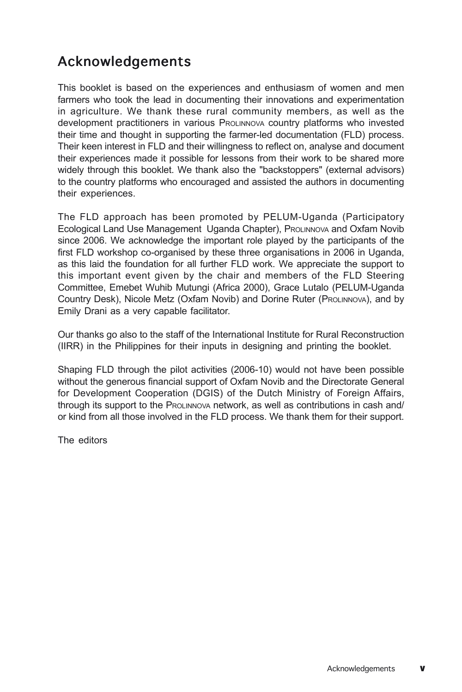### Acknowledgements

This booklet is based on the experiences and enthusiasm of women and men farmers who took the lead in documenting their innovations and experimentation in agriculture. We thank these rural community members, as well as the development practitioners in various PROLINNOVA country platforms who invested their time and thought in supporting the farmer-led documentation (FLD) process. Their keen interest in FLD and their willingness to reflect on, analyse and document their experiences made it possible for lessons from their work to be shared more widely through this booklet. We thank also the "backstoppers" (external advisors) to the country platforms who encouraged and assisted the authors in documenting their experiences.

The FLD approach has been promoted by PELUM-Uganda (Participatory Ecological Land Use Management Uganda Chapter), PROLINNOVA and Oxfam Novib since 2006. We acknowledge the important role played by the participants of the first FLD workshop co-organised by these three organisations in 2006 in Uganda, as this laid the foundation for all further FLD work. We appreciate the support to this important event given by the chair and members of the FLD Steering Committee, Emebet Wuhib Mutungi (Africa 2000), Grace Lutalo (PELUM-Uganda Country Desk), Nicole Metz (Oxfam Novib) and Dorine Ruter (PROLINNOVA), and by Emily Drani as a very capable facilitator.

Our thanks go also to the staff of the International Institute for Rural Reconstruction (IIRR) in the Philippines for their inputs in designing and printing the booklet.

Shaping FLD through the pilot activities (2006-10) would not have been possible without the generous financial support of Oxfam Novib and the Directorate General for Development Cooperation (DGIS) of the Dutch Ministry of Foreign Affairs, through its support to the PROLINNOVA network, as well as contributions in cash and/ or kind from all those involved in the FLD process. We thank them for their support.

The editors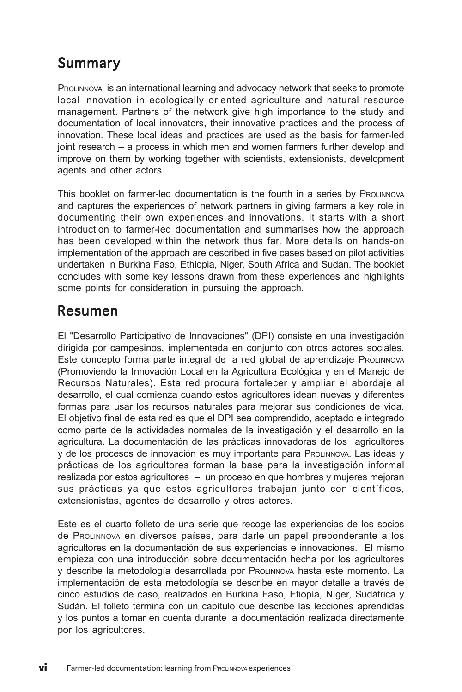#### Summary

PROLINNOVA is an international learning and advocacy network that seeks to promote local innovation in ecologically oriented agriculture and natural resource management. Partners of the network give high importance to the study and documentation of local innovators, their innovative practices and the process of innovation. These local ideas and practices are used as the basis for farmer-led joint research – a process in which men and women farmers further develop and improve on them by working together with scientists, extensionists, development agents and other actors.

This booklet on farmer-led documentation is the fourth in a series by PROLINNOVA and captures the experiences of network partners in giving farmers a key role in documenting their own experiences and innovations. It starts with a short introduction to farmer-led documentation and summarises how the approach has been developed within the network thus far. More details on hands-on implementation of the approach are described in five cases based on pilot activities undertaken in Burkina Faso, Ethiopia, Niger, South Africa and Sudan. The booklet concludes with some key lessons drawn from these experiences and highlights some points for consideration in pursuing the approach.

#### Resumen

El "Desarrollo Participativo de Innovaciones" (DPI) consiste en una investigación dirigida por campesinos, implementada en conjunto con otros actores sociales. Este concepto forma parte integral de la red global de aprendizaje PROLINNOVA (Promoviendo la Innovación Local en la Agricultura Ecológica y en el Manejo de Recursos Naturales). Esta red procura fortalecer y ampliar el abordaje al desarrollo, el cual comienza cuando estos agricultores idean nuevas y diferentes formas para usar los recursos naturales para mejorar sus condiciones de vida. El objetivo final de esta red es que el DPI sea comprendido, aceptado e integrado como parte de la actividades normales de la investigación y el desarrollo en la agricultura. La documentación de las prácticas innovadoras de los agricultores y de los procesos de innovación es muy importante para PROLINNOVA. Las ideas y prácticas de los agricultores forman la base para la investigación informal realizada por estos agricultores – un proceso en que hombres y mujeres mejoran sus prácticas ya que estos agricultores trabajan junto con científicos, extensionistas, agentes de desarrollo y otros actores.

Este es el cuarto folleto de una serie que recoge las experiencias de los socios de PROLINNOVA en diversos países, para darle un papel preponderante a los agricultores en la documentación de sus experiencias e innovaciones. El mismo empieza con una introducción sobre documentación hecha por los agricultores y describe la metodología desarrollada por PROLINNOVA hasta este momento. La implementación de esta metodología se describe en mayor detalle a través de cinco estudios de caso, realizados en Burkina Faso, Etiopía, Níger, Sudáfrica y Sudán. El folleto termina con un capítulo que describe las lecciones aprendidas y los puntos a tomar en cuenta durante la documentación realizada directamente por los agricultores.